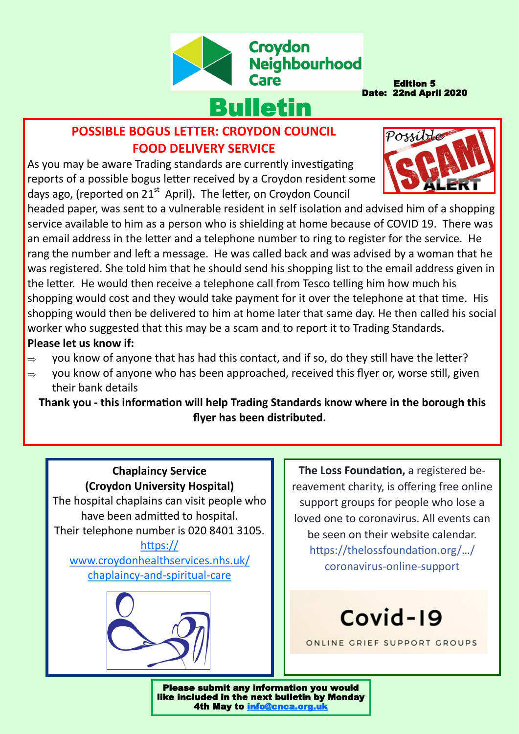

Edition 5 Date: 22nd April 2020

Possible

# **POSSIBLE BOGUS LETTER: CROYDON COUNCIL FOOD DELIVERY SERVICE**

As you may be aware Trading standards are currently investigating reports of a possible bogus letter received by a Croydon resident some days ago, (reported on 21<sup>st</sup> April). The letter, on Croydon Council

headed paper, was sent to a vulnerable resident in self isolation and advised him of a shopping service available to him as a person who is shielding at home because of COVID 19. There was an email address in the letter and a telephone number to ring to register for the service. He rang the number and left a message. He was called back and was advised by a woman that he was registered. She told him that he should send his shopping list to the email address given in the letter. He would then receive a telephone call from Tesco telling him how much his shopping would cost and they would take payment for it over the telephone at that time. His shopping would then be delivered to him at home later that same day. He then called his social worker who suggested that this may be a scam and to report it to Trading Standards. **Please let us know if:**

- $\Rightarrow$  you know of anyone that has had this contact, and if so, do they still have the letter?
- $\Rightarrow$  you know of anyone who has been approached, received this flyer or, worse still, given their bank details

**Thank you - this information will help Trading Standards know where in the borough this flyer has been distributed.** 

## **Chaplaincy Service (Croydon University Hospital)** The hospital chaplains can visit people who

have been admitted to hospital. Their telephone number is 020 8401 3105.

#### [https://](https://www.croydonhealthservices.nhs.uk/chaplaincy-and-spiritual-care) [www.croydonhealthservices.nhs.uk/](https://www.croydonhealthservices.nhs.uk/chaplaincy-and-spiritual-care) [chaplaincy](https://www.croydonhealthservices.nhs.uk/chaplaincy-and-spiritual-care)-and-spiritual-care



**The Loss Foundation,** a registered bereavement charity, is offering free online support groups for people who lose a loved one to coronavirus. All events can be seen on their website calendar. [https://thelossfoundation.org/](https://thelossfoundation.org/event/coronavirus-online-support-group/?fbclid=IwAR2UIZlSmSzzY7AEt9aDZL9Twa5x0Z2sgL3F5bql2NeOFmxhP4hvXsdtIqU)…/ [coronavirus](https://thelossfoundation.org/event/coronavirus-online-support-group/?fbclid=IwAR2UIZlSmSzzY7AEt9aDZL9Twa5x0Z2sgL3F5bql2NeOFmxhP4hvXsdtIqU)-online-support

Covid-19

ONLINE GRIEF SUPPORT GROUPS

Please submit any information you would like included in the next bulletin by Monday 4th May to [info@cnca.org.uk](mailto:info@cnca.org.uk)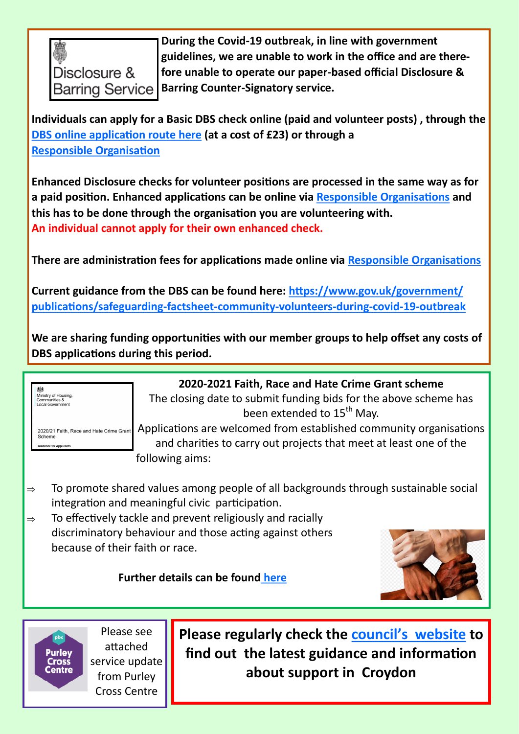

**During the Covid-19 outbreak, in line with government guidelines, we are unable to work in the office and are therefore unable to operate our paper-based official Disclosure & Barring Counter-Signatory service.**

**Individuals can apply for a Basic DBS check online (paid and volunteer posts) , through the [DBS online application route here](https://www.gov.uk/request-copy-criminal-record) (at a cost of £23) or through a [Responsible Organisation](https://www.gov.uk/guidance/responsible-organisations#a-list-of-responsible-organisations)**

**Enhanced Disclosure checks for volunteer positions are processed in the same way as for a paid position. Enhanced applications can be online via [Responsible Organisations](https://www.gov.uk/guidance/responsible-organisations#a-list-of-responsible-organisations) and this has to be done through the organisation you are volunteering with. An individual cannot apply for their own enhanced check.**

**There are administration fees for applications made online via [Responsible Organisations](https://www.gov.uk/guidance/responsible-organisations#a-list-of-responsible-organisations)**

**Current guidance from the DBS can be found here: [https://www.gov.uk/government/](https://www.gov.uk/government/publications/safeguarding-factsheet-community-volunteers-during-covid-19-outbreak) [publications/safeguarding](https://www.gov.uk/government/publications/safeguarding-factsheet-community-volunteers-during-covid-19-outbreak)-factsheet-community-volunteers-during-covid-19-outbreak**

**We are sharing funding opportunities with our member groups to help offset any costs of DBS applications during this period.**

| Ministry of Housing,<br>Communities &<br>Local Government |  |
|-----------------------------------------------------------|--|
|-----------------------------------------------------------|--|

Scheme

2020/21 Faith, Race and Hate Crime Grant

# **2020-2021 Faith, Race and Hate Crime Grant scheme**

The closing date to submit funding bids for the above scheme has been extended to 15<sup>th</sup> May.

Applications are welcomed from established community organisations and charities to carry out projects that meet at least one of the following aims:

- $\Rightarrow$  To promote shared values among people of all backgrounds through sustainable social integration and meaningful civic participation.
- $\Rightarrow$  To effectively tackle and prevent religiously and racially discriminatory behaviour and those acting against others because of their faith or race.

## **Further details can be found [here](https://www.gov.uk/government/publications/faith-race-and-hate-crime-grant-scheme-2020-to-2021)**





Please see attached service update from Purley Cross Centre

**Please regularly check the council'[s website](https://www.croydon.gov.uk/healthsocial/phealth/coronavirus-information/service-updates) to find out the latest guidance and information about support in Croydon**